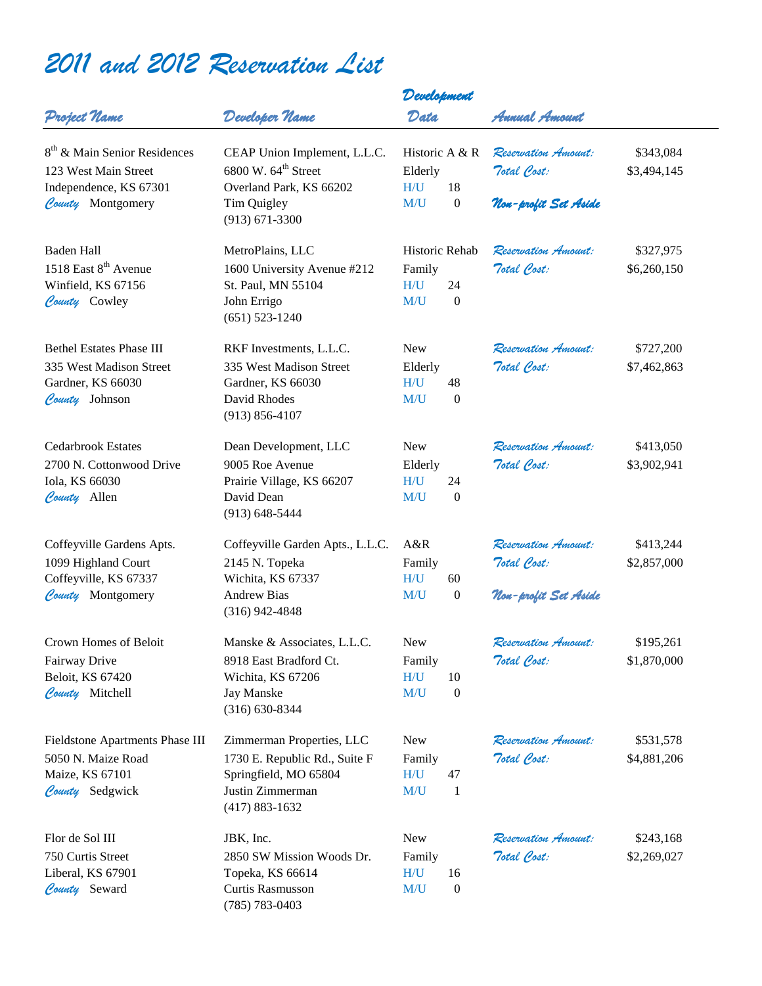## *2011 and 2012 Reservation List*

|                                          |                                         | Development      |                  |                      |             |
|------------------------------------------|-----------------------------------------|------------------|------------------|----------------------|-------------|
| Project Name                             | Developer Name                          | Data             |                  | Annual Amount        |             |
| 8 <sup>th</sup> & Main Senior Residences | CEAP Union Implement, L.L.C.            | Historic A $& R$ |                  | Reservation Amount:  | \$343,084   |
| 123 West Main Street                     | 6800 W. 64 <sup>th</sup> Street         | Elderly          |                  | Total Cost:          | \$3,494,145 |
| Independence, KS 67301                   | Overland Park, KS 66202                 | H/U              | 18               |                      |             |
| County Montgomery                        | Tim Quigley<br>$(913) 671 - 3300$       | M/U              | $\boldsymbol{0}$ | Non-profit Set Aside |             |
| Baden Hall                               | MetroPlains, LLC                        | Historic Rehab   |                  | Reservation Amount:  | \$327,975   |
| 1518 East 8 <sup>th</sup> Avenue         | 1600 University Avenue #212             | Family           |                  | Total Cost:          | \$6,260,150 |
| Winfield, KS 67156                       | St. Paul, MN 55104                      | H/U              | 24               |                      |             |
| County Cowley                            | John Errigo<br>$(651) 523 - 1240$       | M/U              | $\boldsymbol{0}$ |                      |             |
| <b>Bethel Estates Phase III</b>          | RKF Investments, L.L.C.                 | <b>New</b>       |                  | Reservation Amount:  | \$727,200   |
| 335 West Madison Street                  | 335 West Madison Street                 | Elderly          |                  | Total Cost:          | \$7,462,863 |
| Gardner, KS 66030                        | Gardner, KS 66030                       | H/U              | 48               |                      |             |
| County Johnson                           | David Rhodes<br>$(913) 856 - 4107$      | M/U              | $\boldsymbol{0}$ |                      |             |
| <b>Cedarbrook Estates</b>                | Dean Development, LLC                   | <b>New</b>       |                  | Reservation Amount:  | \$413,050   |
| 2700 N. Cottonwood Drive                 | 9005 Roe Avenue                         | Elderly          |                  | Total Cost:          | \$3,902,941 |
| Iola, KS 66030                           | Prairie Village, KS 66207               | H/U              | 24               |                      |             |
| County Allen                             | David Dean                              | M/U              | $\boldsymbol{0}$ |                      |             |
|                                          | $(913) 648 - 5444$                      |                  |                  |                      |             |
| Coffeyville Gardens Apts.                | Coffeyville Garden Apts., L.L.C.        | A&R              |                  | Reservation Amount:  | \$413,244   |
| 1099 Highland Court                      | 2145 N. Topeka                          | Family           |                  | Total Cost:          | \$2,857,000 |
| Coffeyville, KS 67337                    | Wichita, KS 67337                       | H/U              | 60               |                      |             |
| County Montgomery                        | <b>Andrew Bias</b><br>$(316)$ 942-4848  | M/U              | $\boldsymbol{0}$ | Non-profit Set Aside |             |
| Crown Homes of Beloit                    | Manske & Associates, L.L.C.             | New              |                  | Reservation Amount:  | \$195,261   |
| Fairway Drive                            | 8918 East Bradford Ct.                  | Family           |                  | Total Cost:          | \$1,870,000 |
| Beloit, KS 67420                         | Wichita, KS 67206                       | H/U              | 10               |                      |             |
| County Mitchell                          | <b>Jay Manske</b><br>$(316) 630 - 8344$ | M/U              | $\boldsymbol{0}$ |                      |             |
| Fieldstone Apartments Phase III          | Zimmerman Properties, LLC               | New              |                  | Reservation Amount:  | \$531,578   |
| 5050 N. Maize Road                       | 1730 E. Republic Rd., Suite F           | Family           |                  | Total Cost:          | \$4,881,206 |
| Maize, KS 67101                          | Springfield, MO 65804                   | H/U              | 47               |                      |             |
| County Sedgwick                          | Justin Zimmerman<br>$(417) 883 - 1632$  | M/U              | $\mathbf{1}$     |                      |             |
| Flor de Sol III                          | JBK, Inc.                               | New              |                  | Reservation Amount:  | \$243,168   |
| 750 Curtis Street                        | 2850 SW Mission Woods Dr.               | Family           |                  | Total Cost:          | \$2,269,027 |
| Liberal, KS 67901                        | Topeka, KS 66614                        | H/U              | 16               |                      |             |
| County Seward                            | Curtis Rasmusson<br>$(785) 783 - 0403$  | M/U              | $\boldsymbol{0}$ |                      |             |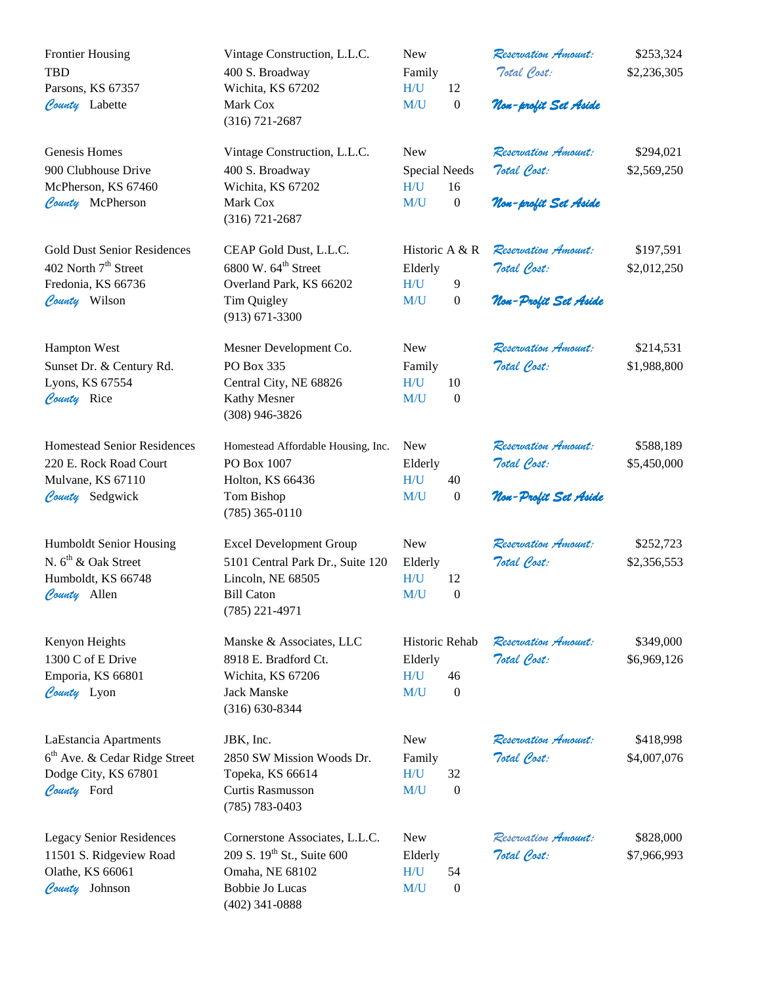| <b>Frontier Housing</b><br><b>TBD</b><br>Parsons, KS 67357<br>County Labette                                  | Vintage Construction, L.L.C.<br>400 S. Broadway<br>Wichita, KS 67202<br>Mark Cox<br>$(316) 721 - 2687$                                    | <b>New</b><br>Family<br>H/U<br>12<br>M/U<br>$\boldsymbol{0}$        | Reservation Amount:<br>Total Cost:<br>Non-profit Set Aside | \$253,324<br>\$2,236,305 |
|---------------------------------------------------------------------------------------------------------------|-------------------------------------------------------------------------------------------------------------------------------------------|---------------------------------------------------------------------|------------------------------------------------------------|--------------------------|
| Genesis Homes<br>900 Clubhouse Drive<br>McPherson, KS 67460<br>County McPherson                               | Vintage Construction, L.L.C.<br>400 S. Broadway<br>Wichita, KS 67202<br>Mark Cox<br>$(316) 721 - 2687$                                    | <b>New</b><br>Special Needs<br>16<br>H/U<br>M/U<br>$\boldsymbol{0}$ | Reservation Amount:<br>Total Cost:<br>Non-profit Set Aside | \$294,021<br>\$2,569,250 |
| <b>Gold Dust Senior Residences</b><br>402 North 7 <sup>th</sup> Street<br>Fredonia, KS 66736<br>County Wilson | CEAP Gold Dust, L.L.C.<br>6800 W. 64 <sup>th</sup> Street<br>Overland Park, KS 66202<br>Tim Quigley<br>$(913) 671 - 3300$                 | Historic A & R<br>Elderly<br>H/U<br>9<br>M/U<br>$\boldsymbol{0}$    | Reservation Amount:<br>Total Cost:<br>Non-Profit Set Aside | \$197,591<br>\$2,012,250 |
| <b>Hampton West</b><br>Sunset Dr. & Century Rd.<br>Lyons, KS 67554<br>County Rice                             | Mesner Development Co.<br>PO Box 335<br>Central City, NE 68826<br>Kathy Mesner<br>$(308)$ 946-3826                                        | <b>New</b><br>Family<br>H/U<br>10<br>M/U<br>$\boldsymbol{0}$        | Reservation Amount:<br>Total Cost:                         | \$214,531<br>\$1,988,800 |
| <b>Homestead Senior Residences</b><br>220 E. Rock Road Court<br>Mulvane, KS 67110<br>County Sedgwick          | Homestead Affordable Housing, Inc.<br>PO Box 1007<br>Holton, KS 66436<br>Tom Bishop<br>$(785)$ 365-0110                                   | <b>New</b><br>Elderly<br>H/U<br>40<br>M/U<br>$\boldsymbol{0}$       | Reservation Amount:<br>Total Cost:<br>Non-Profit Set Aside | \$588,189<br>\$5,450,000 |
| Humboldt Senior Housing<br>N. 6 <sup>th</sup> & Oak Street<br>Humboldt, KS 66748<br>County Allen              | <b>Excel Development Group</b><br>5101 Central Park Dr., Suite 120<br>Lincoln, NE 68505<br><b>Bill Caton</b><br>$(785)$ 221-4971          | <b>New</b><br>Elderly<br>H/U<br>12<br>M/U<br>$\boldsymbol{0}$       | Reservation Amount:<br>Total Cost:                         | \$252,723<br>\$2,356,553 |
| Kenyon Heights<br>1300 C of E Drive<br>Emporia, KS 66801<br>County Lyon                                       | Manske & Associates, LLC<br>8918 E. Bradford Ct.<br>Wichita, KS 67206<br>Jack Manske<br>$(316) 630 - 8344$                                | Historic Rehab<br>Elderly<br>H/U<br>46<br>M/U<br>$\boldsymbol{0}$   | Reservation Amount:<br>Total Cost:                         | \$349,000<br>\$6,969,126 |
| LaEstancia Apartments<br>6 <sup>th</sup> Ave. & Cedar Ridge Street<br>Dodge City, KS 67801<br>County Ford     | JBK, Inc.<br>2850 SW Mission Woods Dr.<br>Topeka, KS 66614<br>Curtis Rasmusson<br>$(785) 783 - 0403$                                      | <b>New</b><br>Family<br>H/U<br>32<br>M/U<br>$\boldsymbol{0}$        | Reservation Amount:<br>Total Cost:                         | \$418,998<br>\$4,007,076 |
| <b>Legacy Senior Residences</b><br>11501 S. Ridgeview Road<br>Olathe, KS 66061<br>County Johnson              | Cornerstone Associates, L.L.C.<br>209 S. 19 <sup>th</sup> St., Suite 600<br>Omaha, NE 68102<br><b>Bobbie Jo Lucas</b><br>$(402)$ 341-0888 | <b>New</b><br>Elderly<br>H/U<br>54<br>M/U<br>$\boldsymbol{0}$       | Reservation Amount:<br>Total Cost:                         | \$828,000<br>\$7,966,993 |